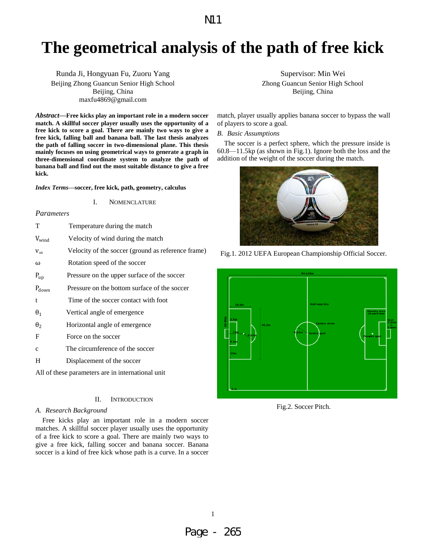# **The geometrical analysis of the path of free kick**

Runda Ji, Hongyuan Fu, Zuoru Yang Beijing Zhong Guancun Senior High School Beijing, China maxfu4869@gmail.com

*Abstract***—Free kicks play an important role in a modern soccer match. A skillful soccer player usually uses the opportunity of a free kick to score a goal. There are mainly two ways to give a free kick, falling ball and banana ball. The last thesis analyzes the path of falling soccer in two-dimensional plane. This thesis mainly focuses on using geometrical ways to generate a graph in three-dimensional coordinate system to analyze the path of banana ball and find out the most suitable distance to give a free kick.** 

## *Index Terms***—soccer, free kick, path, geometry, calculus**

## I. NOMENCLATURE

## *Parameters*

| T                     | Temperature during the match                       |
|-----------------------|----------------------------------------------------|
| $V_{wind}$            | Velocity of wind during the match                  |
| $V_{\infty}$          | Velocity of the soccer (ground as reference frame) |
| ω                     | Rotation speed of the soccer                       |
| $P_{up}$              | Pressure on the upper surface of the soccer        |
| $P_{down}$            | Pressure on the bottom surface of the soccer       |
| t                     | Time of the soccer contact with foot               |
| $\theta_1$            | Vertical angle of emergence                        |
| $\theta$ <sub>2</sub> | Horizontal angle of emergence                      |
| F                     | Force on the soccer                                |
| $\mathbf{C}$          | The circumference of the soccer                    |
| H                     | Displacement of the soccer                         |
|                       | All of these parameters are in international unit  |
|                       |                                                    |

## II. INTRODUCTION

### *A. Research Background*

Free kicks play an important role in a modern soccer matches. A skillful soccer player usually uses the opportunity of a free kick to score a goal. There are mainly two ways to give a free kick, falling soccer and banana soccer. Banana soccer is a kind of free kick whose path is a curve. In a soccer Supervisor: Min Wei

Zhong Guancun Senior High School Beijing, China

match, player usually applies banana soccer to bypass the wall of players to score a goal.

## *B. Basic Assumptions*

The soccer is a perfect sphere, which the pressure inside is 60.8—11.5kp (as shown in Fig.1). Ignore both the loss and the addition of the weight of the soccer during the match.







Fig.2. Soccer Pitch.

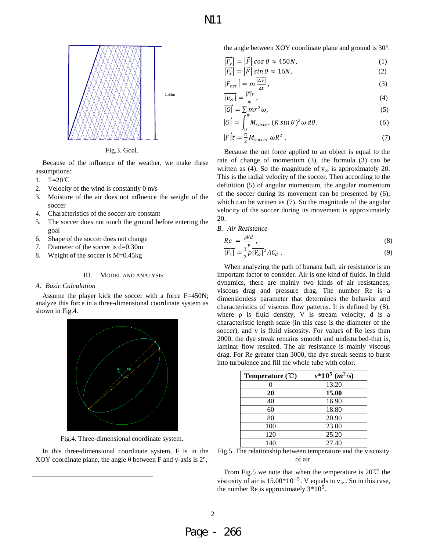

Fig.3. Goal.

Because of the influence of the weather, we make these assumptions:

- 1. T=20℃
- 2. Velocity of the wind is constantly 0 m/s
- 3. Moisture of the air does not influence the weight of the soccer
- 4. Characteristics of the soccer are constant
- 5. The soccer does not touch the ground before entering the goal
- 6. Shape of the soccer does not change
- 7. Diameter of the soccer is d=0.30m
- 8. Weight of the soccer is M=0.45kg

III. MODEL AND ANALYSIS

## *A. Basic Calculation*

Assume the player kick the soccer with a force F=450N; analyze this force in a three-dimensional coordinate system as shown in Fig.4.



Fig.4. Three-dimensional coordinate system.

In this three-dimensional coordinate system, F is in the XOY coordinate plane, the angle  $\theta$  between F and y-axis is 2 $\degree$ ,

the angle between XOY coordinate plane and ground is 30°.

$$
\left|\overrightarrow{F_y}\right| = \left|\overrightarrow{F}\right|\cos\theta \approx 450N,\tag{1}
$$

$$
\left|\overrightarrow{F_x}\right| = \left|\overrightarrow{F}\right| \sin \theta \approx 16N,\tag{2}
$$

$$
\overrightarrow{|F_{net}|} = m \frac{\overrightarrow{|\Delta v|}}{\Delta t},\tag{3}
$$

$$
\overrightarrow{|v_{\infty}|} = \frac{\overrightarrow{|F|}t}{m},\tag{4}
$$

$$
\frac{1}{|G|} = \sum m r^2 \omega,
$$
\n(5)

$$
\overrightarrow{|G|} = \int_0^{\pi} M_{\text{soccer}} (R \sin \theta)^2 \omega \, d\theta, \tag{6}
$$

$$
\overrightarrow{|F|}t = \frac{\pi}{2}M_{\text{soccer}} \omega R^2 \ . \tag{7}
$$

Because the net force applied to an object is equal to the rate of change of momentum (3), the formula (3) can be written as (4). So the magnitude of  $v_{\infty}$  is approximately 20. This is the radial velocity of the soccer. Then according to the definition (5) of angular momentum, the angular momentum of the soccer during its movement can be presented by (6), which can be written as (7). So the magnitude of the angular velocity of the soccer during its movement is approximately 20.

*B. Air Resistance* 

$$
Re = \frac{\rho V d}{v},\tag{8}
$$

$$
\overline{|F_1|} = \frac{1}{2} \rho \overline{|V_{\infty}|^2} A C_d \tag{9}
$$

When analyzing the path of banana ball, air resistance is an important factor to consider. Air is one kind of fluids. In fluid dynamics, there are mainly two kinds of air resistances, viscous drag and pressure drag. The number Re is a dimensionless parameter that determines the behavior and characteristics of viscous flow patterns. It is defined by (8), where  $\rho$  is fluid density, V is stream velocity, d is a characteristic length scale (in this case is the diameter of the soccer), and v is fluid viscosity. For values of Re less than 2000, the dye streak remains smooth and undisturbed-that is, laminar flow resulted. The air resistance is mainly viscous drag. For Re greater than 3000, the dye streak seems to burst into turbulence and fill the whole tube with color.

| Temperature $(\mathcal{C})$ | $v*10^5$ $(m^2/s)$ |
|-----------------------------|--------------------|
|                             | 13.20              |
| 20                          | 15.00              |
| 40                          | 16.90              |
| 60                          | 18.80              |
| 80                          | 20.90              |
| 100                         | 23.00              |
| 120                         | 25.20              |
| 140                         | 27.40              |

Fig.5. The relationship between temperature and the viscosity of air.

From Fig.5 we note that when the temperature is 20℃ the viscosity of air is 15.00\*10<sup>-5</sup>. V equals to  $v_{\infty}$ . So in this case, the number Re is approximately  $3*10^5$ .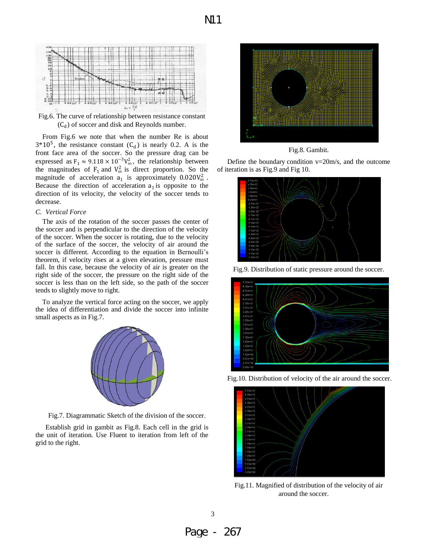

Fig.6. The curve of relationship between resistance constant  $(C_d)$  of soccer and disk and Reynolds number.

From Fig.6 we note that when the number Re is about  $3*10^5$ , the resistance constant  $(C_d)$  is nearly 0.2. A is the front face area of the soccer. So the pressure drag can be expressed as  $F_1 \approx 9.118 \times 10^{-3} V_{\infty}^2$ , the relationship between the magnitudes of  $F_1$  and  $V_\infty^2$  is direct proportion. So the magnitude of acceleration  $a_1$  is approximately  $0.020V_\infty^2$ . Because the direction of acceleration  $a_1$  is opposite to the direction of its velocity, the velocity of the soccer tends to decrease.

## *C. Vertical Force*

The axis of the rotation of the soccer passes the center of the soccer and is perpendicular to the direction of the velocity of the soccer. When the soccer is rotating, due to the velocity of the surface of the soccer, the velocity of air around the soccer is different. According to the equation in Bernoulli's theorem, if velocity rises at a given elevation, pressure must fall. In this case, because the velocity of air is greater on the right side of the soccer, the pressure on the right side of the soccer is less than on the left side, so the path of the soccer tends to slightly move to right.

To analyze the vertical force acting on the soccer, we apply the idea of differentiation and divide the soccer into infinite small aspects as in Fig.7.



Fig.7. Diagrammatic Sketch of the division of the soccer.

Establish grid in gambit as Fig.8. Each cell in the grid is the unit of iteration. Use Fluent to iteration from left of the grid to the right.



Fig.8. Gambit.

Define the boundary condition  $v=20$ m/s, and the outcome of iteration is as Fig.9 and Fig 10.



Fig.9. Distribution of static pressure around the soccer.







Fig.11. Magnified of distribution of the velocity of air around the soccer.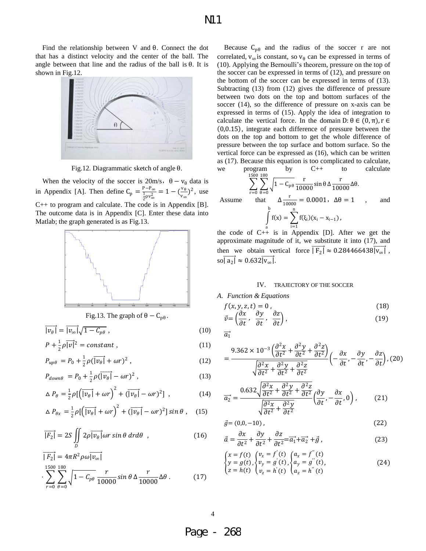Find the relationship between V and θ. Connect the dot that has a distinct velocity and the center of the ball. The angle between that line and the radius of the ball is  $\theta$ . It is shown in Fig.12.



Fig.12. Diagrammatic sketch of angle θ.

When the velocity of the soccer is  $20m/s$ ,  $\theta - v_\theta$  data is in Appendix [A]. Then define  $C_p = \frac{P - P_{\infty}}{\frac{1}{2}\rho v_{\infty}^2} = 1 - (\frac{v_{\theta}}{v_{\infty}})$  $\frac{v_{\theta}}{v_{\infty}}$ )<sup>2</sup>, use C++ to program and calculate. The code is in Appendix [B]. The outcome data is in Appendix [C]. Enter these data into Matlab; the graph generated is as Fig.13.



## Fig.13. The graph of  $\theta - C_{p\theta}$ .

$$
\overline{|v_{\theta}|} = \overline{|v_{\infty}|} \sqrt{1 - C_{p\theta}} \tag{10}
$$

$$
P + \frac{1}{2}\rho \overline{|v|^2} = constant , \qquad (11)
$$

$$
P_{up\theta} = P_0 + \frac{1}{2}\rho(\overrightarrow{|\nu_\theta|} + \omega r)^2, \qquad (12)
$$

$$
P_{down\theta} = P_0 + \frac{1}{2}\rho(\overrightarrow{|\nu_{\theta}|} - \omega r)^2 , \qquad (13)
$$

$$
\Delta P_{\theta} = \frac{1}{2} \rho \left[ \left( \overline{|v_{\theta}|} + \omega r \right)^2 + \left( \overline{|v_{\theta}|} - \omega r \right)^2 \right], \qquad (14)
$$

$$
\Delta P_{\theta x} = \frac{1}{2} \rho \left[ \left( \overrightarrow{v_{\theta}} + \omega r \right)^2 + \left( \overrightarrow{v_{\theta}} - \omega r \right)^2 \right] \sin \theta , \quad (15)
$$

$$
\overrightarrow{|F_2|} = 2S \iint_D 2\rho \overrightarrow{|v_\theta|} \omega r \sin \theta \, dr d\theta \quad , \tag{16}
$$

$$
\overline{|F_2|} = 4\pi R^2 \rho \omega \overline{|v_{\infty}|}
$$
  

$$
\sum_{r=0}^{1500} \sum_{\theta=0}^{180} \sqrt{1 - C_{p\theta}} \frac{r}{10000} \sin \theta \Delta \frac{r}{10000} \Delta \theta.
$$
 (17)

Because  $C_{p\theta}$  and the radius of the soccer r are not correlated,  $v_{\infty}$  is constant, so  $v_{\theta}$  can be expressed in terms of (10). Applying the Bernoulli's theorem, pressure on the top of the soccer can be expressed in terms of (12), and pressure on the bottom of the soccer can be expressed in terms of (13). Subtracting (13) from (12) gives the difference of pressure between two dots on the top and bottom surfaces of the soccer (14), so the difference of pressure on x-axis can be expressed in terms of (15). Apply the idea of integration to calculate the vertical force. In the domain  $D: \theta \in (0, \pi)$ ,  $r \in$  $(0,0.15)$ , integrate each difference of pressure between the dots on the top and bottom to get the whole difference of pressure between the top surface and bottom surface. So the vertical force can be expressed as (16), which can be written as (17). Because this equation is too complicated to calculate, we program by  $C++$  to calculate

$$
\sum_{r=0}^{\text{PUS}_2(180)} \sum_{\theta=0}^{\text{1500 180}} \sqrt{1 - C_{\text{p}} \theta} \frac{r}{10000} \sin \theta \Delta \frac{r}{10000} \Delta \theta.
$$
  
Assume that  $\Delta \frac{r}{10000} = 0.0001$ ,  $\Delta \theta = 1$ , and  $\int_{1}^{b} f(x) = \sum_{i=1}^{n} f(\xi_i)(x_i - x_{i-1})$ ,

the code of  $C++$  is in Appendix [D]. After we get the approximate magnitude of it, we substitute it into (17), and then we obtain vertical force  $\overline{F_2} \approx 0.284466438 \overline{v_\infty}$ ,  $\overrightarrow{\text{so} \mid \text{a}_2 \mid} \approx 0.632 \overrightarrow{\text{v}_\infty}.$ 

### IV. TRAJECTORY OF THE SOCCER

*A. Function & Equations* 

$$
f(x, y, z, t) = 0,
$$
  
\n
$$
\vec{v} = \left(\frac{\partial x}{\partial t}, \frac{\partial y}{\partial t}, \frac{\partial z}{\partial t}\right),
$$
\n(18)

$$
\overline{a_1}
$$

$$
=\frac{9.362\times10^{-3}\left(\frac{\partial^2 x}{\partial t^2}+\frac{\partial^2 y}{\partial t^2}+\frac{\partial^2 z}{\partial t^2}\right)}{\sqrt{\frac{\partial^2 x}{\partial t^2}+\frac{\partial^2 y}{\partial t^2}+\frac{\partial^2 z}{\partial t^2}}} \left(-\frac{\partial x}{\partial t},-\frac{\partial y}{\partial t},-\frac{\partial z}{\partial t}\right), (20)
$$

$$
\overrightarrow{a_2} = \frac{0.632\sqrt{\frac{\partial^2 x}{\partial t^2} + \frac{\partial^2 y}{\partial t^2} + \frac{\partial^2 z}{\partial t^2}}}{\sqrt{\frac{\partial^2 x}{\partial t^2} + \frac{\partial^2 y}{\partial t^2}}} \left(\frac{\partial y}{\partial t}, -\frac{\partial x}{\partial t}, 0\right),\tag{21}
$$

$$
\vec{g} = (0, 0, -10),\tag{22}
$$

$$
\vec{a} = \frac{\partial x}{\partial t^2} + \frac{\partial y}{\partial t^2} + \frac{\partial z}{\partial t^2} = \overrightarrow{a_1} + \overrightarrow{a_2} + \vec{g} \,,\tag{23}
$$

$$
\begin{cases}\nx = f(t) \\
y = g(t), \begin{cases}\nv_x = f'(t) \\
v_y = g'(t), \begin{cases}\na_y = g''(t) \\
a_y = g''(t), \end{cases} \\
z = h(t) \begin{cases}\nv_z = h'(t) \\
a_z = h''(t)\n\end{cases}\n\end{cases}
$$
\n(24)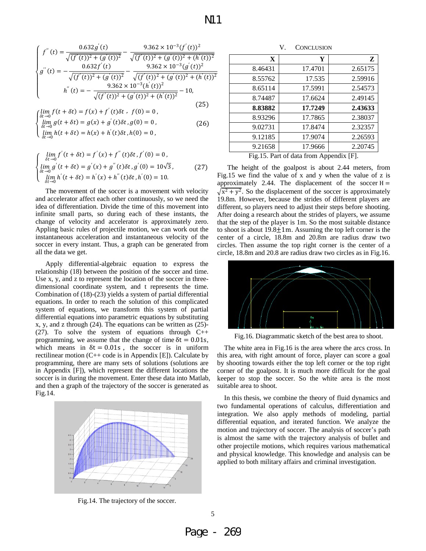$$
\begin{cases}\nf''(t) = \frac{0.632g'(t)}{\sqrt{(f'(t))^2 + (g'(t))^2}} - \frac{9.362 \times 10^{-3} (f'(t))^2}{\sqrt{(f'(t))^2 + (g'(t))^2 + (h'(t))^2}} \\
g''(t) = -\frac{0.632f'(t)}{\sqrt{(f'(t))^2 + (g'(t))^2}} - \frac{9.362 \times 10^{-3} (g'(t))^2}{\sqrt{(f'(t))^2 + (g'(t))^2 + (h'(t))^2}} \\
h''(t) = -\frac{9.362 \times 10^{-3} (h'(t))^2}{\sqrt{(f'(t))^2 + (g'(t))^2 + (h'(t))^2}} - 10, \\
\text{diam } f(t + \delta t) = f(x) + f'(t)\delta t, \quad f(0) = 0,\n\end{cases} (25)
$$

$$
\begin{cases} \lim_{\delta t \to 0} f(t + \delta t) = f(x) + f'(t)\delta t, & f(0) = 0, \\ \lim_{\delta t \to 0} g(t + \delta t) = g(x) + g'(t)\delta t, & g(0) = 0. \end{cases}
$$
 (26)

$$
\begin{cases} \lim_{\delta t \to 0} g(t + \delta t) = g(x) + g'(t)\delta t, g(0) = 0, \\ \lim_{\delta t \to 0} h(t + \delta t) = h(x) + h'(t)\delta t, h(0) = 0, \end{cases}
$$
 (26)

$$
\begin{cases}\n\lim_{\delta t \to 0} f'(t + \delta t) = f'(x) + f''(t)\delta t, f'(0) = 0, \\
\lim_{\delta t \to 0} g'(t + \delta t) = g'(x) + g''(t)\delta t, g'(0) = 10\sqrt{3}, \\
\lim_{\delta t \to 0} h'(t + \delta t) = h'(x) + h''(t)\delta t, h'(0) = 10.\n\end{cases}
$$
\n(27)

The movement of the soccer is a movement with velocity and accelerator affect each other continuously, so we need the idea of differentiation. Divide the time of this movement into infinite small parts, so during each of these instants, the change of velocity and accelerator is approximately zero. Appling basic rules of projectile motion, we can work out the instantaneous acceleration and instantaneous velocity of the soccer in every instant. Thus, a graph can be generated from all the data we get.

Apply differential-algebraic equation to express the relationship (18) between the position of the soccer and time. Use x, y, and z to represent the location of the soccer in threedimensional coordinate system, and t represents the time. Combination of (18)-(23) yields a system of partial differential equations. In order to reach the solution of this complicated system of equations, we transform this system of partial differential equations into parametric equations by substituting x, y, and z through (24). The equations can be written as (25)- (27). To solve the system of equations through  $C++$ programming, we assume that the change of time  $\delta t = 0.01$ s, which means in  $\delta t = 0.01s$ , the soccer is in uniform rectilinear motion  $(C++ \text{ code is in Appendix } [E])$ . Calculate by programming, there are many sets of solutions (solutions are in Appendix [F]), which represent the different locations the soccer is in during the movement. Enter these data into Matlab, and then a graph of the trajectory of the soccer is generated as Fig.14.



Fig.14. The trajectory of the soccer.

| X       | Y       | Z       |
|---------|---------|---------|
| 8.46431 | 17.4701 | 2.65175 |
| 8.55762 | 17.535  | 2.59916 |
| 8.65114 | 17.5991 | 2.54573 |
| 8.74487 | 17.6624 | 2.49145 |
| 8.83882 | 17.7249 | 2.43633 |
| 8.93296 | 17.7865 | 2.38037 |
| 9.02731 | 17.8474 | 2.32357 |
| 9.12185 | 17.9074 | 2.26593 |
| 9.21658 | 17.9666 | 2.20745 |

Fig.15. Part of data from Appendix [F].

The height of the goalpost is about 2.44 meters, from Fig.15 we find the value of x and y when the value of z is approximately 2.44. The displacement of the soccer  $H =$  $\sqrt{x^2 + y^2}$ . So the displacement of the soccer is approximately 19.8m. However, because the strides of different players are different, so players need to adjust their steps before shooting. After doing a research about the strides of players, we assume that the step of the player is 1m. So the most suitable distance to shoot is about  $19.8 \pm 1$ m. Assuming the top left corner is the center of a circle, 18.8m and 20.8m are radius draw two circles. Then assume the top right corner is the center of a circle, 18.8m and 20.8 are radius draw two circles as in Fig.16.



Fig.16. Diagrammatic sketch of the best area to shoot.

The white area in Fig.16 is the area where the arcs cross. In this area, with right amount of force, player can score a goal by shooting towards either the top left corner or the top right corner of the goalpost. It is much more difficult for the goal keeper to stop the soccer. So the white area is the most suitable area to shoot.

In this thesis, we combine the theory of fluid dynamics and two fundamental operations of calculus, differentiation and integration. We also apply methods of modeling, partial differential equation, and iterated function. We analyze the motion and trajectory of soccer. The analysis of soccer's path is almost the same with the trajectory analysis of bullet and other projectile motions, which requires various mathematical and physical knowledge. This knowledge and analysis can be applied to both military affairs and criminal investigation.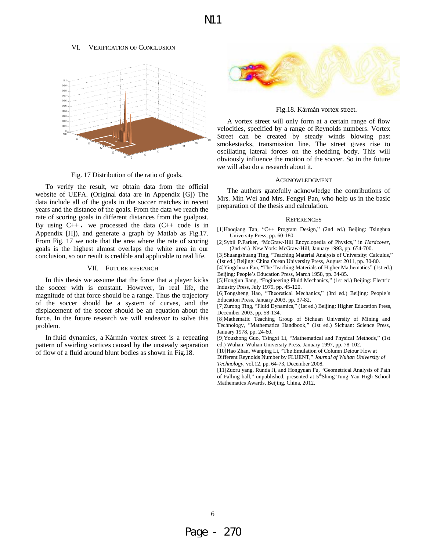### VI. VERIFICATION OF CONCLUSION



Fig. 17 Distribution of the ratio of goals.

To verify the result, we obtain data from the official website of UEFA. (Original data are in Appendix [G]) The data include all of the goals in the soccer matches in recent years and the distance of the goals. From the data we reach the rate of scoring goals in different distances from the goalpost. By using  $C_{++}$ , we processed the data  $(C_{++}$  code is in Appendix [H]), and generate a graph by Matlab as Fig.17. From Fig. 17 we note that the area where the rate of scoring goals is the highest almost overlaps the white area in our conclusion, so our result is credible and applicable to real life.

## VII. FUTURE RESEARCH

In this thesis we assume that the force that a player kicks the soccer with is constant. However, in real life, the magnitude of that force should be a range. Thus the trajectory of the soccer should be a system of curves, and the displacement of the soccer should be an equation about the force. In the future research we will endeavor to solve this problem.

In fluid dynamics, a Kármán vortex street is a repeating pattern of swirling vortices caused by the unsteady separation of flow of a fluid around blunt bodies as shown in Fig.18.



Fig.18. Kármán vortex street.

A vortex street will only form at a certain range of flow velocities, specified by a range of Reynolds numbers. Vortex Street can be created by steady winds blowing past smokestacks, transmission line. The street gives rise to oscillating lateral forces on the shedding body. This will obviously influence the motion of the soccer. So in the future we will also do a research about it.

## ACKNOWLEDGMENT

The authors gratefully acknowledge the contributions of Mrs. Min Wei and Mrs. Fengyi Pan, who help us in the basic preparation of the thesis and calculation.

#### **REFERENCES**

[1]Haoqiang Tan, "C++ Program Design," (2nd ed.) Beijing: Tsinghua University Press, pp. 60-180.

[2]Sybil P.Parker, "McGraw-Hill Encyclopedia of Physics," in *Hardcover*, (2nd ed.) New York: McGraw-Hill, January 1993, pp. 654-700.

[3]Shuangshuang Ting, "Teaching Material Analysis of University: Calculus," (1st ed.) Beijing: China Ocean University Press, August 2011, pp. 30-80.

[4]Yingchuan Fan, "The Teaching Materials of Higher Mathematics" (1st ed.) Beijing: People's Education Press, March 1958, pp. 34-85.

[5]Hongjun Jiang, "Engineering Fluid Mechanics," (1st ed.) Beijing: Electric Industry Press, July 1979, pp. 45-120.

[6]Tongsheng Hao, "Theoretical Mechanics," (3rd ed.) Beijing: People's Education Press, January 2003, pp. 37-82.

[7]Zurong Ting, "Fluid Dynamics," (1st ed.) Beijing: Higher Education Press, December 2003, pp. 58-134.

[8]Mathematic Teaching Group of Sichuan University of Mining and Technology, "Mathematics Handbook," (1st ed.) Sichuan: Science Press, January 1978, pp. 24-60.

[9]Youzhong Guo, Tsingxi Li, "Mathematical and Physical Methods," (1st ed.) Wuhan: Wuhan University Press, January 1997, pp. 78-102.

[10]Hao Zhan, Wanping Li, "The Emulation of Column Detour Flow at

Different Reynolds Number by FLUENT," *Journal of Wuhan University of Technology,* vol.12, pp. 64-73, December 2008.

[11]Zuoru yang, Runda Ji, and Hongyuan Fu, "Geometrical Analysis of Path of Falling ball," unpublished, presented at 5<sup>th</sup>Shing-Tung Yau High School Mathematics Awards, Beijing, China, 2012.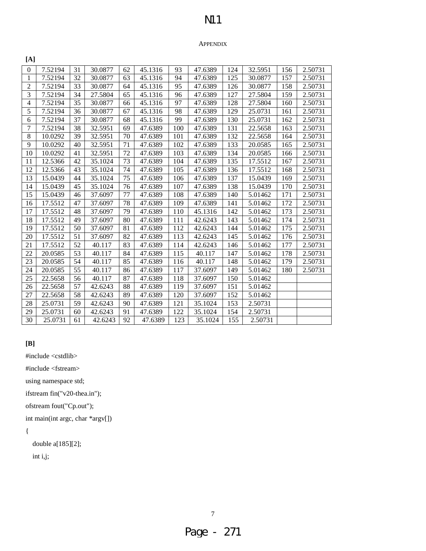# APPENDIX

| [A]            |         |    |         |    |         |     |         |     |         |     |         |
|----------------|---------|----|---------|----|---------|-----|---------|-----|---------|-----|---------|
| $\overline{0}$ | 7.52194 | 31 | 30.0877 | 62 | 45.1316 | 93  | 47.6389 | 124 | 32.5951 | 156 | 2.50731 |
| 1              | 7.52194 | 32 | 30.0877 | 63 | 45.1316 | 94  | 47.6389 | 125 | 30.0877 | 157 | 2.50731 |
| $\overline{2}$ | 7.52194 | 33 | 30.0877 | 64 | 45.1316 | 95  | 47.6389 | 126 | 30.0877 | 158 | 2.50731 |
| 3              | 7.52194 | 34 | 27.5804 | 65 | 45.1316 | 96  | 47.6389 | 127 | 27.5804 | 159 | 2.50731 |
| $\overline{4}$ | 7.52194 | 35 | 30.0877 | 66 | 45.1316 | 97  | 47.6389 | 128 | 27.5804 | 160 | 2.50731 |
| 5              | 7.52194 | 36 | 30.0877 | 67 | 45.1316 | 98  | 47.6389 | 129 | 25.0731 | 161 | 2.50731 |
| 6              | 7.52194 | 37 | 30.0877 | 68 | 45.1316 | 99  | 47.6389 | 130 | 25.0731 | 162 | 2.50731 |
| 7              | 7.52194 | 38 | 32.5951 | 69 | 47.6389 | 100 | 47.6389 | 131 | 22.5658 | 163 | 2.50731 |
| 8              | 10.0292 | 39 | 32.5951 | 70 | 47.6389 | 101 | 47.6389 | 132 | 22.5658 | 164 | 2.50731 |
| 9              | 10.0292 | 40 | 32.5951 | 71 | 47.6389 | 102 | 47.6389 | 133 | 20.0585 | 165 | 2.50731 |
| 10             | 10.0292 | 41 | 32.5951 | 72 | 47.6389 | 103 | 47.6389 | 134 | 20.0585 | 166 | 2.50731 |
| 11             | 12.5366 | 42 | 35.1024 | 73 | 47.6389 | 104 | 47.6389 | 135 | 17.5512 | 167 | 2.50731 |
| 12             | 12.5366 | 43 | 35.1024 | 74 | 47.6389 | 105 | 47.6389 | 136 | 17.5512 | 168 | 2.50731 |
| 13             | 15.0439 | 44 | 35.1024 | 75 | 47.6389 | 106 | 47.6389 | 137 | 15.0439 | 169 | 2.50731 |
| 14             | 15.0439 | 45 | 35.1024 | 76 | 47.6389 | 107 | 47.6389 | 138 | 15.0439 | 170 | 2.50731 |
| 15             | 15.0439 | 46 | 37.6097 | 77 | 47.6389 | 108 | 47.6389 | 140 | 5.01462 | 171 | 2.50731 |
| 16             | 17.5512 | 47 | 37.6097 | 78 | 47.6389 | 109 | 47.6389 | 141 | 5.01462 | 172 | 2.50731 |
| 17             | 17.5512 | 48 | 37.6097 | 79 | 47.6389 | 110 | 45.1316 | 142 | 5.01462 | 173 | 2.50731 |
| 18             | 17.5512 | 49 | 37.6097 | 80 | 47.6389 | 111 | 42.6243 | 143 | 5.01462 | 174 | 2.50731 |
| 19             | 17.5512 | 50 | 37.6097 | 81 | 47.6389 | 112 | 42.6243 | 144 | 5.01462 | 175 | 2.50731 |
| 20             | 17.5512 | 51 | 37.6097 | 82 | 47.6389 | 113 | 42.6243 | 145 | 5.01462 | 176 | 2.50731 |
| 21             | 17.5512 | 52 | 40.117  | 83 | 47.6389 | 114 | 42.6243 | 146 | 5.01462 | 177 | 2.50731 |
| 22             | 20.0585 | 53 | 40.117  | 84 | 47.6389 | 115 | 40.117  | 147 | 5.01462 | 178 | 2.50731 |
| 23             | 20.0585 | 54 | 40.117  | 85 | 47.6389 | 116 | 40.117  | 148 | 5.01462 | 179 | 2.50731 |
| 24             | 20.0585 | 55 | 40.117  | 86 | 47.6389 | 117 | 37.6097 | 149 | 5.01462 | 180 | 2.50731 |
| 25             | 22.5658 | 56 | 40.117  | 87 | 47.6389 | 118 | 37.6097 | 150 | 5.01462 |     |         |
| 26             | 22.5658 | 57 | 42.6243 | 88 | 47.6389 | 119 | 37.6097 | 151 | 5.01462 |     |         |
| 27             | 22.5658 | 58 | 42.6243 | 89 | 47.6389 | 120 | 37.6097 | 152 | 5.01462 |     |         |
| 28             | 25.0731 | 59 | 42.6243 | 90 | 47.6389 | 121 | 35.1024 | 153 | 2.50731 |     |         |
| 29             | 25.0731 | 60 | 42.6243 | 91 | 47.6389 | 122 | 35.1024 | 154 | 2.50731 |     |         |
| 30             | 25.0731 | 61 | 42.6243 | 92 | 47.6389 | 123 | 35.1024 | 155 | 2.50731 |     |         |

# **[B]**

#include <cstdlib>

#include <fstream>

using namespace std;

ifstream fin("v20-thea.in");

ofstream fout("Cp.out");

int main(int argc, char \*argv[])

# {

double a[185][2];

int i,j;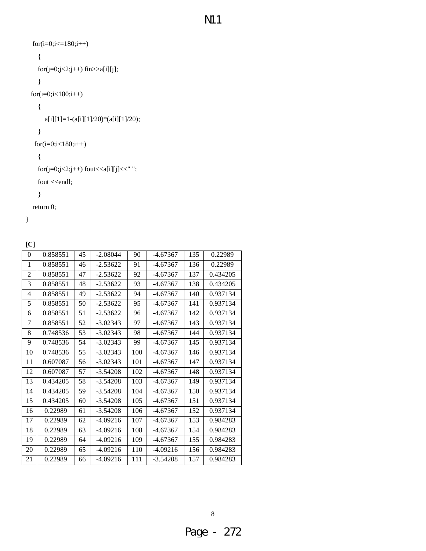```
for(i=0;i<=180;i++) { 
  for(j=0;j<2;j++) fin>>a[i][j];
    } 
 for(i=0;i<180;i++) 
   { 
      a[i][1]=1-(a[i][1]/20)*(a[i][1]/20); 
   } 
  for(i=0;i<180;i++) 
   { 
  for (j=0; j<2; j++) fout << a[i][j] << " ";
  fout <<<</a>endl;
    } 
 return 0;
```

```
}
```
 $[C]$ 

| ιU             |          |    |            |     |            |     |          |
|----------------|----------|----|------------|-----|------------|-----|----------|
| $\theta$       | 0.858551 | 45 | $-2.08044$ | 90  | $-4.67367$ | 135 | 0.22989  |
| $\mathbf{1}$   | 0.858551 | 46 | $-2.53622$ | 91  | $-4.67367$ | 136 | 0.22989  |
| $\overline{2}$ | 0.858551 | 47 | $-2.53622$ | 92  | $-4.67367$ | 137 | 0.434205 |
| 3              | 0.858551 | 48 | $-2.53622$ | 93  | $-4.67367$ | 138 | 0.434205 |
| $\overline{4}$ | 0.858551 | 49 | $-2.53622$ | 94  | $-4.67367$ | 140 | 0.937134 |
| 5              | 0.858551 | 50 | $-2.53622$ | 95  | $-4.67367$ | 141 | 0.937134 |
| 6              | 0.858551 | 51 | $-2.53622$ | 96  | $-4.67367$ | 142 | 0.937134 |
| 7              | 0.858551 | 52 | $-3.02343$ | 97  | -4.67367   | 143 | 0.937134 |
| 8              | 0.748536 | 53 | $-3.02343$ | 98  | $-4.67367$ | 144 | 0.937134 |
| 9              | 0.748536 | 54 | $-3.02343$ | 99  | $-4.67367$ | 145 | 0.937134 |
| 10             | 0.748536 | 55 | $-3.02343$ | 100 | $-4.67367$ | 146 | 0.937134 |
| 11             | 0.607087 | 56 | $-3.02343$ | 101 | $-4.67367$ | 147 | 0.937134 |
| 12             | 0.607087 | 57 | $-3.54208$ | 102 | -4.67367   | 148 | 0.937134 |
| 13             | 0.434205 | 58 | $-3.54208$ | 103 | $-4.67367$ | 149 | 0.937134 |
| 14             | 0.434205 | 59 | $-3.54208$ | 104 | $-4.67367$ | 150 | 0.937134 |
| 15             | 0.434205 | 60 | $-3.54208$ | 105 | -4.67367   | 151 | 0.937134 |
| 16             | 0.22989  | 61 | $-3.54208$ | 106 | $-4.67367$ | 152 | 0.937134 |
| 17             | 0.22989  | 62 | $-4.09216$ | 107 | $-4.67367$ | 153 | 0.984283 |
| 18             | 0.22989  | 63 | $-4.09216$ | 108 | $-4.67367$ | 154 | 0.984283 |
| 19             | 0.22989  | 64 | $-4.09216$ | 109 | $-4.67367$ | 155 | 0.984283 |
| 20             | 0.22989  | 65 | $-4.09216$ | 110 | $-4.09216$ | 156 | 0.984283 |
| 21             | 0.22989  | 66 | $-4.09216$ | 111 | $-3.54208$ | 157 | 0.984283 |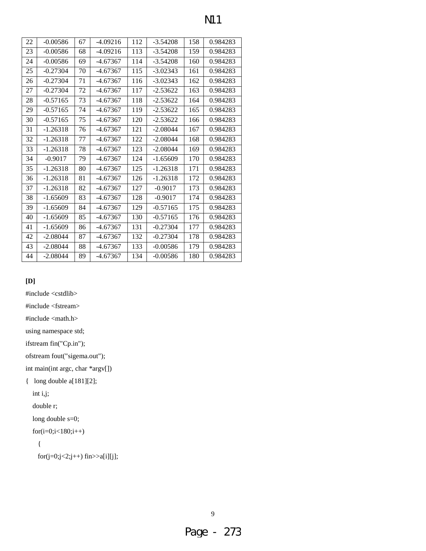| 22 | $-0.00586$ | 67 | $-4.09216$ | 112 | $-3.54208$ | 158 | 0.984283 |
|----|------------|----|------------|-----|------------|-----|----------|
| 23 | $-0.00586$ | 68 | $-4.09216$ | 113 | $-3.54208$ | 159 | 0.984283 |
| 24 | $-0.00586$ | 69 | $-4.67367$ | 114 | $-3.54208$ | 160 | 0.984283 |
| 25 | $-0.27304$ | 70 | $-4.67367$ | 115 | $-3.02343$ | 161 | 0.984283 |
| 26 | $-0.27304$ | 71 | $-4.67367$ | 116 | $-3.02343$ | 162 | 0.984283 |
| 27 | $-0.27304$ | 72 | $-4.67367$ | 117 | $-2.53622$ | 163 | 0.984283 |
| 28 | $-0.57165$ | 73 | $-4.67367$ | 118 | $-2.53622$ | 164 | 0.984283 |
| 29 | $-0.57165$ | 74 | $-4.67367$ | 119 | $-2.53622$ | 165 | 0.984283 |
| 30 | $-0.57165$ | 75 | $-4.67367$ | 120 | $-2.53622$ | 166 | 0.984283 |
| 31 | $-1.26318$ | 76 | $-4.67367$ | 121 | $-2.08044$ | 167 | 0.984283 |
| 32 | $-1.26318$ | 77 | $-4.67367$ | 122 | $-2.08044$ | 168 | 0.984283 |
| 33 | $-1.26318$ | 78 | $-4.67367$ | 123 | $-2.08044$ | 169 | 0.984283 |
| 34 | $-0.9017$  | 79 | $-4.67367$ | 124 | $-1.65609$ | 170 | 0.984283 |
| 35 | $-1.26318$ | 80 | $-4.67367$ | 125 | $-1.26318$ | 171 | 0.984283 |
| 36 | $-1.26318$ | 81 | $-4.67367$ | 126 | $-1.26318$ | 172 | 0.984283 |
| 37 | $-1.26318$ | 82 | $-4.67367$ | 127 | $-0.9017$  | 173 | 0.984283 |
| 38 | $-1.65609$ | 83 | $-4.67367$ | 128 | $-0.9017$  | 174 | 0.984283 |
| 39 | $-1.65609$ | 84 | $-4.67367$ | 129 | $-0.57165$ | 175 | 0.984283 |
| 40 | $-1.65609$ | 85 | $-4.67367$ | 130 | $-0.57165$ | 176 | 0.984283 |
| 41 | $-1.65609$ | 86 | $-4.67367$ | 131 | $-0.27304$ | 177 | 0.984283 |
| 42 | $-2.08044$ | 87 | $-4.67367$ | 132 | $-0.27304$ | 178 | 0.984283 |
| 43 | $-2.08044$ | 88 | $-4.67367$ | 133 | $-0.00586$ | 179 | 0.984283 |
| 44 | $-2.08044$ | 89 | $-4.67367$ | 134 | $-0.00586$ | 180 | 0.984283 |

# **[D]**

#include <cstdlib>

#include <fstream>

#include <math.h>

using namespace std;

ifstream fin("Cp.in");

ofstream fout("sigema.out");

int main(int argc, char \*argv[])

{ long double a[181][2];

int i,j;

double r;

long double s=0;

for(i=0;i<180;i++)

```
 {
```
for(j=0;j<2;j++) fin>>a[i][j];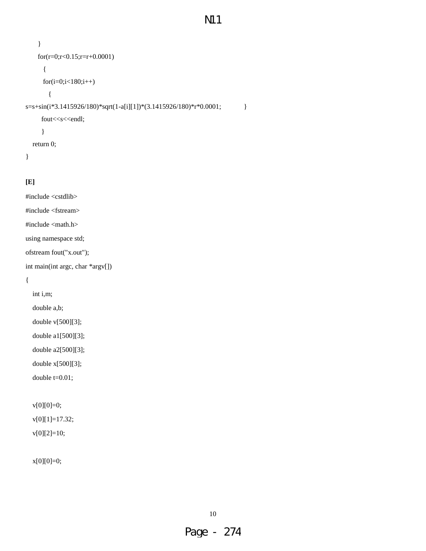```
N11
```

```
 } 
     for(r=0;r<0.15;r=r+0.0001) 
       { 
       for(i=0;i<180;i++) 
         { 
s=s+sin(i*3.1415926/180)*sqrt(1-a[i][1])*(3.1415926/180)*r*0.0001; } 
     fout<<<s<<endl;
      } 
   return 0;
```
# }

# **[E]**

#include <cstdlib>

#include <fstream>

#include <math.h>

using namespace std;

ofstream fout("x.out");

int main(int argc, char \*argv[])

{

int i,m;

double a,b;

double v[500][3];

double a1[500][3];

double a2[500][3];

double x[500][3];

double t=0.01;

v[0][0]=0;

v[0][1]=17.32;

v[0][2]=10;

x[0][0]=0;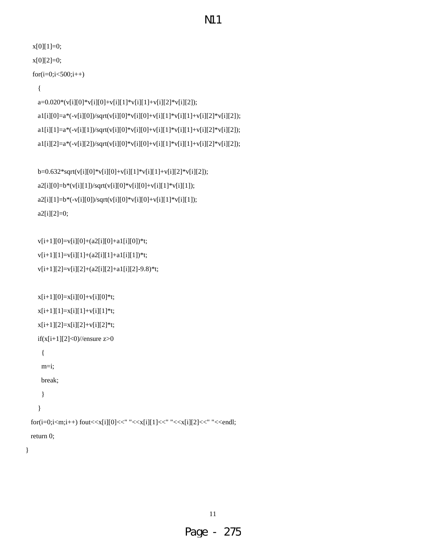```
N11
```

```
 x[0][1]=0; 
 x[0][2]=0; 
for(i=0;i<500;i++)
```

```
 {
```
 $a\!\!=\!\!0.020^*\!(v[i][0]*\!v[i][0]+\!v[i][1]*\!v[i][1]+\!v[i][2]*\!v[i][2]);\\$  $a1[i][0]=a*(-v[i][0])/sqrt(v[i][0]*v[i][0]+v[i][1]*v[i][1]+v[i][2]*v[i][2]);$ a1[i][1]=a\*(-v[i][1])/sqrt(v[i][0]\*v[i][0]+v[i][1]\*v[i][1]+v[i][2]\*v[i][2]);  $a1[i][2]=a*(-v[i][2])/sqrt(v[i][0]*v[i][0]+v[i][1]*v[i][1]+v[i][2]*v[i][2]);$ 

```
 b=0.632*sqrt(v[i][0]*v[i][0]+v[i][1]*v[i][1]+v[i][2]*v[i][2]); 
a2[i][0]=b*(v[i][1])/sqrt(v[i][0]*v[i][0]+v[i][1]*v[i][1]);a2[i][1]=b*(-v[i][0])/sqrt(v[i][0]*v[i][0]+v[i][1]*v[i][1]); a2[i][2]=0;
```

```
 v[i+1][0]=v[i][0]+(a2[i][0]+a1[i][0])*t; 
v[i+1][1]=v[i][1]+(a2[i][1]+a1[i][1])^*t; v[i+1][2]=v[i][2]+(a2[i][2]+a1[i][2]-9.8)*t;
```

```
x[i+1][0]=x[i][0]+v[i][0]*t;x[i+1][1]=x[i][1]+v[i][1]*t;x[i+1][2]=x[i][2]+v[i][2]*t;if(x[i+1][2]<0)//ensure z>0
     { 
     m=i; 
    break; 
     } 
    } 
for(i=0;i<m;i++) fout<<x[i][0]<<" "<<x[i][1]<<" "<<x[i][2]<<" "<<endl;
 return 0;
```
}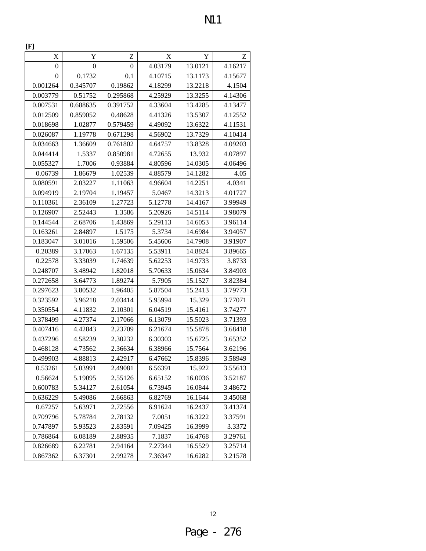| X            | Y                | Z                | X       | Y       | Z       |
|--------------|------------------|------------------|---------|---------|---------|
|              |                  |                  |         |         |         |
| $\mathbf{0}$ | $\boldsymbol{0}$ | $\boldsymbol{0}$ | 4.03179 | 13.0121 | 4.16217 |
| 0            | 0.1732           | 0.1              | 4.10715 | 13.1173 | 4.15677 |
| 0.001264     | 0.345707         | 0.19862          | 4.18299 | 13.2218 | 4.1504  |
| 0.003779     | 0.51752          | 0.295868         | 4.25929 | 13.3255 | 4.14306 |
| 0.007531     | 0.688635         | 0.391752         | 4.33604 | 13.4285 | 4.13477 |
| 0.012509     | 0.859052         | 0.48628          | 4.41326 | 13.5307 | 4.12552 |
| 0.018698     | 1.02877          | 0.579459         | 4.49092 | 13.6322 | 4.11531 |
| 0.026087     | 1.19778          | 0.671298         | 4.56902 | 13.7329 | 4.10414 |
| 0.034663     | 1.36609          | 0.761802         | 4.64757 | 13.8328 | 4.09203 |
| 0.044414     | 1.5337           | 0.850981         | 4.72655 | 13.932  | 4.07897 |
| 0.055327     | 1.7006           | 0.93884          | 4.80596 | 14.0305 | 4.06496 |
| 0.06739      | 1.86679          | 1.02539          | 4.88579 | 14.1282 | 4.05    |
| 0.080591     | 2.03227          | 1.11063          | 4.96604 | 14.2251 | 4.0341  |
| 0.094919     | 2.19704          | 1.19457          | 5.0467  | 14.3213 | 4.01727 |
| 0.110361     | 2.36109          | 1.27723          | 5.12778 | 14.4167 | 3.99949 |
| 0.126907     | 2.52443          | 1.3586           | 5.20926 | 14.5114 | 3.98079 |
| 0.144544     | 2.68706          | 1.43869          | 5.29113 | 14.6053 | 3.96114 |
| 0.163261     | 2.84897          | 1.5175           | 5.3734  | 14.6984 | 3.94057 |
| 0.183047     | 3.01016          | 1.59506          | 5.45606 | 14.7908 | 3.91907 |
| 0.20389      | 3.17063          | 1.67135          | 5.53911 | 14.8824 | 3.89665 |
| 0.22578      | 3.33039          | 1.74639          | 5.62253 | 14.9733 | 3.8733  |
| 0.248707     | 3.48942          | 1.82018          | 5.70633 | 15.0634 | 3.84903 |
| 0.272658     | 3.64773          | 1.89274          | 5.7905  | 15.1527 | 3.82384 |
| 0.297623     | 3.80532          | 1.96405          | 5.87504 | 15.2413 | 3.79773 |
| 0.323592     | 3.96218          | 2.03414          | 5.95994 | 15.329  | 3.77071 |
| 0.350554     | 4.11832          | 2.10301          | 6.04519 | 15.4161 | 3.74277 |
| 0.378499     | 4.27374          | 2.17066          | 6.13079 | 15.5023 | 3.71393 |
| 0.407416     | 4.42843          | 2.23709          | 6.21674 | 15.5878 | 3.68418 |
| 0.437296     | 4.58239          | 2.30232          | 6.30303 | 15.6725 | 3.65352 |
| 0.468128     | 4.73562          | 2.36634          | 6.38966 | 15.7564 | 3.62196 |
| 0.499903     | 4.88813          | 2.42917          | 6.47662 | 15.8396 | 3.58949 |
| 0.53261      | 5.03991          | 2.49081          | 6.56391 | 15.922  | 3.55613 |
| 0.56624      | 5.19095          | 2.55126          | 6.65152 | 16.0036 | 3.52187 |
| 0.600783     | 5.34127          | 2.61054          | 6.73945 | 16.0844 | 3.48672 |
| 0.636229     | 5.49086          | 2.66863          | 6.82769 | 16.1644 | 3.45068 |
| 0.67257      | 5.63971          | 2.72556          | 6.91624 | 16.2437 | 3.41374 |
| 0.709796     | 5.78784          | 2.78132          | 7.0051  | 16.3222 | 3.37591 |
| 0.747897     | 5.93523          | 2.83591          | 7.09425 | 16.3999 | 3.3372  |
| 0.786864     | 6.08189          | 2.88935          | 7.1837  | 16.4768 | 3.29761 |
| 0.826689     | 6.22781          | 2.94164          | 7.27344 | 16.5529 | 3.25714 |
| 0.867362     | 6.37301          | 2.99278          | 7.36347 | 16.6282 | 3.21578 |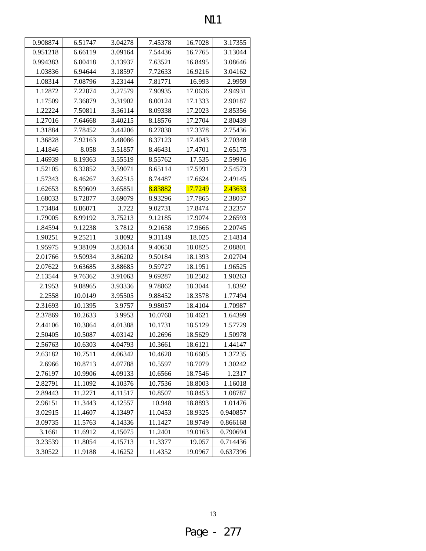| 0.908874 | 6.51747 | 3.04278 | 7.45378 | 16.7028 | 3.17355  |
|----------|---------|---------|---------|---------|----------|
| 0.951218 | 6.66119 | 3.09164 | 7.54436 | 16.7765 | 3.13044  |
| 0.994383 | 6.80418 | 3.13937 | 7.63521 | 16.8495 | 3.08646  |
| 1.03836  | 6.94644 | 3.18597 | 7.72633 | 16.9216 | 3.04162  |
| 1.08314  | 7.08796 | 3.23144 | 7.81771 | 16.993  | 2.9959   |
| 1.12872  | 7.22874 | 3.27579 | 7.90935 | 17.0636 | 2.94931  |
| 1.17509  | 7.36879 | 3.31902 | 8.00124 | 17.1333 | 2.90187  |
| 1.22224  | 7.50811 | 3.36114 | 8.09338 | 17.2023 | 2.85356  |
| 1.27016  | 7.64668 | 3.40215 | 8.18576 | 17.2704 | 2.80439  |
| 1.31884  | 7.78452 | 3.44206 | 8.27838 | 17.3378 | 2.75436  |
| 1.36828  | 7.92163 | 3.48086 | 8.37123 | 17.4043 | 2.70348  |
| 1.41846  | 8.058   | 3.51857 | 8.46431 | 17.4701 | 2.65175  |
| 1.46939  | 8.19363 | 3.55519 | 8.55762 | 17.535  | 2.59916  |
| 1.52105  | 8.32852 | 3.59071 | 8.65114 | 17.5991 | 2.54573  |
| 1.57343  | 8.46267 | 3.62515 | 8.74487 | 17.6624 | 2.49145  |
| 1.62653  | 8.59609 | 3.65851 | 8.83882 | 17.7249 | 2.43633  |
| 1.68033  | 8.72877 | 3.69079 | 8.93296 | 17.7865 | 2.38037  |
| 1.73484  | 8.86071 | 3.722   | 9.02731 | 17.8474 | 2.32357  |
| 1.79005  | 8.99192 | 3.75213 | 9.12185 | 17.9074 | 2.26593  |
| 1.84594  | 9.12238 | 3.7812  | 9.21658 | 17.9666 | 2.20745  |
| 1.90251  | 9.25211 | 3.8092  | 9.31149 | 18.025  | 2.14814  |
| 1.95975  | 9.38109 | 3.83614 | 9.40658 | 18.0825 | 2.08801  |
| 2.01766  | 9.50934 | 3.86202 | 9.50184 | 18.1393 | 2.02704  |
| 2.07622  | 9.63685 | 3.88685 | 9.59727 | 18.1951 | 1.96525  |
| 2.13544  | 9.76362 | 3.91063 | 9.69287 | 18.2502 | 1.90263  |
| 2.1953   | 9.88965 | 3.93336 | 9.78862 | 18.3044 | 1.8392   |
| 2.2558   | 10.0149 | 3.95505 | 9.88452 | 18.3578 | 1.77494  |
| 2.31693  | 10.1395 | 3.9757  | 9.98057 | 18.4104 | 1.70987  |
| 2.37869  | 10.2633 | 3.9953  | 10.0768 | 18.4621 | 1.64399  |
| 2.44106  | 10.3864 | 4.01388 | 10.1731 | 18.5129 | 1.57729  |
| 2.50405  | 10.5087 | 4.03142 | 10.2696 | 18.5629 | 1.50978  |
| 2.56763  | 10.6303 | 4.04793 | 10.3661 | 18.6121 | 1.44147  |
| 2.63182  | 10.7511 | 4.06342 | 10.4628 | 18.6605 | 1.37235  |
| 2.6966   | 10.8713 | 4.07788 | 10.5597 | 18.7079 | 1.30242  |
| 2.76197  | 10.9906 | 4.09133 | 10.6566 | 18.7546 | 1.2317   |
| 2.82791  | 11.1092 | 4.10376 | 10.7536 | 18.8003 | 1.16018  |
| 2.89443  | 11.2271 | 4.11517 | 10.8507 | 18.8453 | 1.08787  |
| 2.96151  | 11.3443 | 4.12557 | 10.948  | 18.8893 | 1.01476  |
| 3.02915  | 11.4607 | 4.13497 | 11.0453 | 18.9325 | 0.940857 |
| 3.09735  | 11.5763 | 4.14336 | 11.1427 | 18.9749 | 0.866168 |
| 3.1661   | 11.6912 | 4.15075 | 11.2401 | 19.0163 | 0.790694 |
| 3.23539  | 11.8054 | 4.15713 | 11.3377 | 19.057  | 0.714436 |
| 3.30522  | 11.9188 | 4.16252 | 11.4352 | 19.0967 | 0.637396 |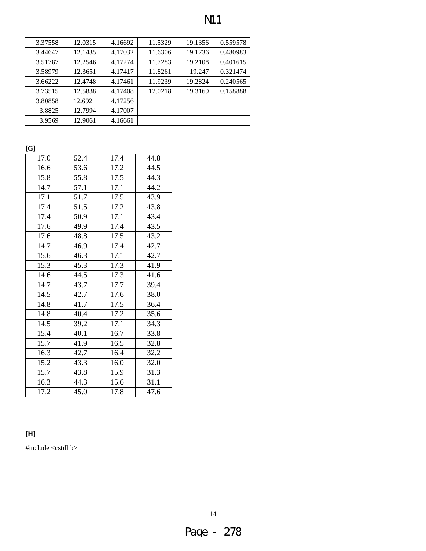| ٧ |
|---|
|   |

| 3.37558 | 12.0315 | 4.16692 | 11.5329 | 19.1356 | 0.559578 |
|---------|---------|---------|---------|---------|----------|
| 3.44647 | 12.1435 | 4.17032 | 11.6306 | 19.1736 | 0.480983 |
| 3.51787 | 12.2546 | 4.17274 | 11.7283 | 19.2108 | 0.401615 |
| 3.58979 | 12.3651 | 4.17417 | 11.8261 | 19.247  | 0.321474 |
| 3.66222 | 12.4748 | 4.17461 | 11.9239 | 19.2824 | 0.240565 |
| 3.73515 | 12.5838 | 4.17408 | 12.0218 | 19.3169 | 0.158888 |
| 3.80858 | 12.692  | 4.17256 |         |         |          |
| 3.8825  | 12.7994 | 4.17007 |         |         |          |
| 3.9569  | 12.9061 | 4.16661 |         |         |          |

**[G]** 

| 17.0 | 52.4 | 17.4 | 44.8 |
|------|------|------|------|
| 16.6 | 53.6 | 17.2 | 44.5 |
| 15.8 | 55.8 | 17.5 | 44.3 |
| 14.7 | 57.1 | 17.1 | 44.2 |
| 17.1 | 51.7 | 17.5 | 43.9 |
| 17.4 | 51.5 | 17.2 | 43.8 |
| 17.4 | 50.9 | 17.1 | 43.4 |
| 17.6 | 49.9 | 17.4 | 43.5 |
| 17.6 | 48.8 | 17.5 | 43.2 |
| 14.7 | 46.9 | 17.4 | 42.7 |
| 15.6 | 46.3 | 17.1 | 42.7 |
| 15.3 | 45.3 | 17.3 | 41.9 |
| 14.6 | 44.5 | 17.3 | 41.6 |
| 14.7 | 43.7 | 17.7 | 39.4 |
| 14.5 | 42.7 | 17.6 | 38.0 |
| 14.8 | 41.7 | 17.5 | 36.4 |
| 14.8 | 40.4 | 17.2 | 35.6 |
| 14.5 | 39.2 | 17.1 | 34.3 |
| 15.4 | 40.1 | 16.7 | 33.8 |
| 15.7 | 41.9 | 16.5 | 32.8 |
| 16.3 | 42.7 | 16.4 | 32.2 |
| 15.2 | 43.3 | 16.0 | 32.0 |
| 15.7 | 43.8 | 15.9 | 31.3 |
| 16.3 | 44.3 | 15.6 | 31.1 |
| 17.2 | 45.0 | 17.8 | 47.6 |

# **[H]**

#include <cstdlib>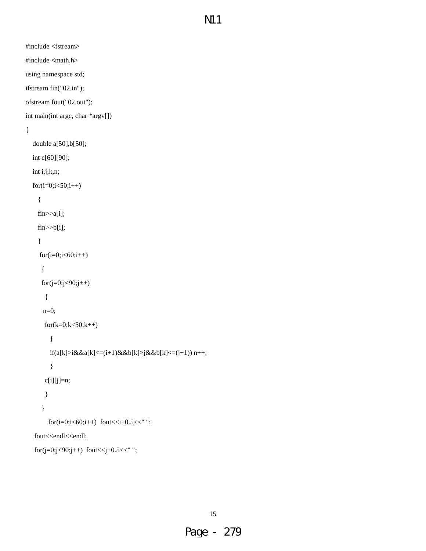#include <fstream>

#include <math.h>

using namespace std;

ifstream fin("02.in");

ofstream fout("02.out");

int main(int argc, char \*argv[])

# {

```
 double a[50],b[50]; 
 int c[60][90]; 
 int i,j,k,n; 
for(i=0;i<50;i++) { 
  fin>>a[i]; 
  fin>>b[i]; 
   } 
  for(i=0;i<60;i++) { 
   for(j=0;j<90;j++) { 
     n=0; 
    for(k=0; k<50; k++) { 
       if(a[k]>i&&a[k]<=(i+1)&&b[k]>j&&b[k]<=(j+1)) n++; 
       } 
     c[i][j]=n; 
      } 
    } 
      for(i=0;i<60;i++) fout << i+0.5 << ";
fout<<endl<<endl;
for(j=0;j<90;j++) fout<<j+0.5<<" ";
```